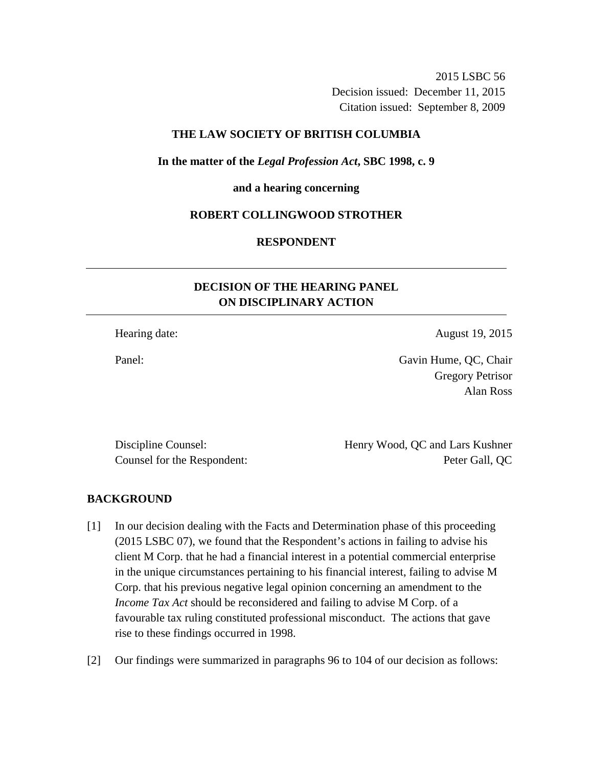2015 LSBC 56 Decision issued: December 11, 2015 Citation issued: September 8, 2009

## **THE LAW SOCIETY OF BRITISH COLUMBIA**

**In the matter of the** *Legal Profession Act***, SBC 1998, c. 9** 

**and a hearing concerning** 

### **ROBERT COLLINGWOOD STROTHER**

## **RESPONDENT**

# **DECISION OF THE HEARING PANEL ON DISCIPLINARY ACTION**

Hearing date: August 19, 2015

Panel: Gavin Hume, QC, Chair Gregory Petrisor Alan Ross

Discipline Counsel: Henry Wood, QC and Lars Kushner Counsel for the Respondent: Peter Gall, QC

#### **BACKGROUND**

- [1] In our decision dealing with the Facts and Determination phase of this proceeding (2015 LSBC 07), we found that the Respondent's actions in failing to advise his client M Corp. that he had a financial interest in a potential commercial enterprise in the unique circumstances pertaining to his financial interest, failing to advise M Corp. that his previous negative legal opinion concerning an amendment to the *Income Tax Act* should be reconsidered and failing to advise M Corp. of a favourable tax ruling constituted professional misconduct. The actions that gave rise to these findings occurred in 1998.
- [2] Our findings were summarized in paragraphs 96 to 104 of our decision as follows: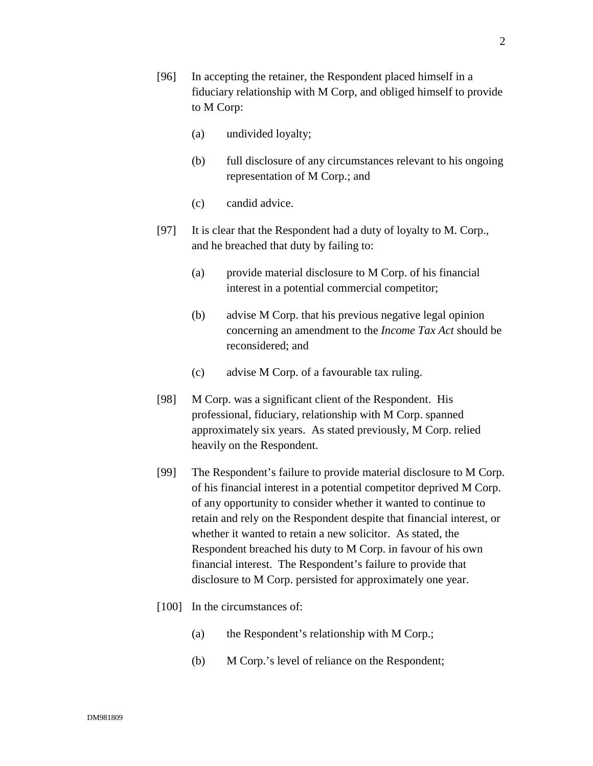- [96] In accepting the retainer, the Respondent placed himself in a fiduciary relationship with M Corp, and obliged himself to provide to M Corp:
	- (a) undivided loyalty;
	- (b) full disclosure of any circumstances relevant to his ongoing representation of M Corp.; and
	- (c) candid advice.
- [97] It is clear that the Respondent had a duty of loyalty to M. Corp., and he breached that duty by failing to:
	- (a) provide material disclosure to M Corp. of his financial interest in a potential commercial competitor;
	- (b) advise M Corp. that his previous negative legal opinion concerning an amendment to the *Income Tax Act* should be reconsidered; and
	- (c) advise M Corp. of a favourable tax ruling.
- [98] M Corp. was a significant client of the Respondent. His professional, fiduciary, relationship with M Corp. spanned approximately six years. As stated previously, M Corp. relied heavily on the Respondent.
- [99] The Respondent's failure to provide material disclosure to M Corp. of his financial interest in a potential competitor deprived M Corp. of any opportunity to consider whether it wanted to continue to retain and rely on the Respondent despite that financial interest, or whether it wanted to retain a new solicitor. As stated, the Respondent breached his duty to M Corp. in favour of his own financial interest. The Respondent's failure to provide that disclosure to M Corp. persisted for approximately one year.
- [100] In the circumstances of:
	- (a) the Respondent's relationship with M Corp.;
	- (b) M Corp.'s level of reliance on the Respondent;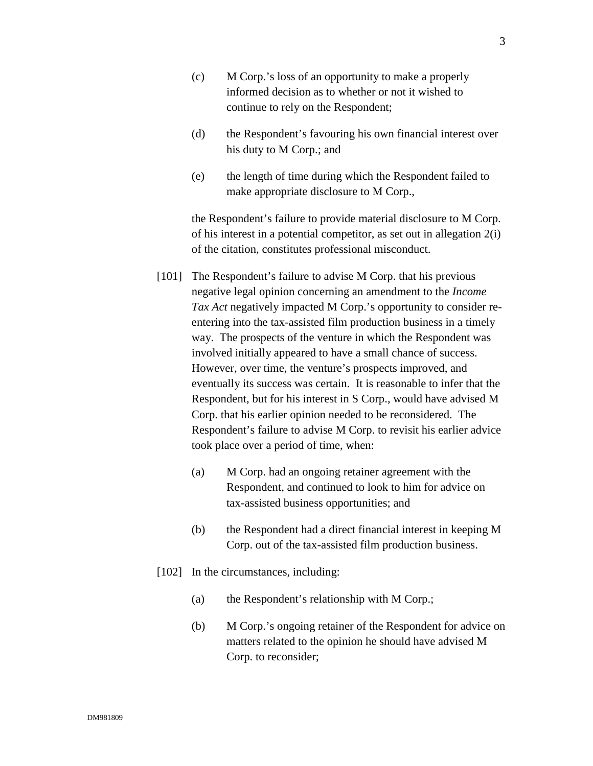- (c) M Corp.'s loss of an opportunity to make a properly informed decision as to whether or not it wished to continue to rely on the Respondent;
- (d) the Respondent's favouring his own financial interest over his duty to M Corp.; and
- (e) the length of time during which the Respondent failed to make appropriate disclosure to M Corp.,

the Respondent's failure to provide material disclosure to M Corp. of his interest in a potential competitor, as set out in allegation 2(i) of the citation, constitutes professional misconduct.

- [101] The Respondent's failure to advise M Corp. that his previous negative legal opinion concerning an amendment to the *Income Tax Act* negatively impacted M Corp.'s opportunity to consider reentering into the tax-assisted film production business in a timely way. The prospects of the venture in which the Respondent was involved initially appeared to have a small chance of success. However, over time, the venture's prospects improved, and eventually its success was certain. It is reasonable to infer that the Respondent, but for his interest in S Corp., would have advised M Corp. that his earlier opinion needed to be reconsidered. The Respondent's failure to advise M Corp. to revisit his earlier advice took place over a period of time, when:
	- (a) M Corp. had an ongoing retainer agreement with the Respondent, and continued to look to him for advice on tax-assisted business opportunities; and
	- (b) the Respondent had a direct financial interest in keeping M Corp. out of the tax-assisted film production business.
- [102] In the circumstances, including:
	- (a) the Respondent's relationship with M Corp.;
	- (b) M Corp.'s ongoing retainer of the Respondent for advice on matters related to the opinion he should have advised M Corp. to reconsider;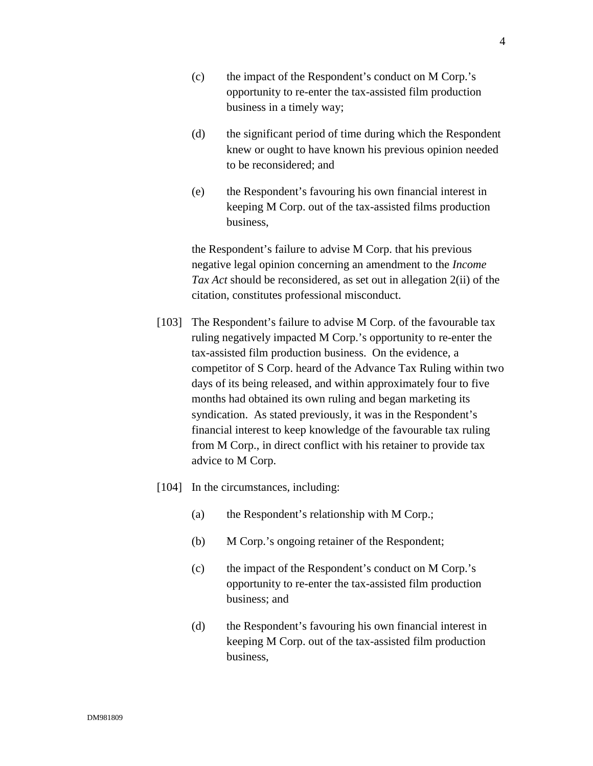- (c) the impact of the Respondent's conduct on M Corp.'s opportunity to re-enter the tax-assisted film production business in a timely way;
- (d) the significant period of time during which the Respondent knew or ought to have known his previous opinion needed to be reconsidered; and
- (e) the Respondent's favouring his own financial interest in keeping M Corp. out of the tax-assisted films production business,

the Respondent's failure to advise M Corp. that his previous negative legal opinion concerning an amendment to the *Income Tax Act* should be reconsidered, as set out in allegation 2(ii) of the citation, constitutes professional misconduct.

- [103] The Respondent's failure to advise M Corp. of the favourable tax ruling negatively impacted M Corp.'s opportunity to re-enter the tax-assisted film production business. On the evidence, a competitor of S Corp. heard of the Advance Tax Ruling within two days of its being released, and within approximately four to five months had obtained its own ruling and began marketing its syndication. As stated previously, it was in the Respondent's financial interest to keep knowledge of the favourable tax ruling from M Corp., in direct conflict with his retainer to provide tax advice to M Corp.
- [104] In the circumstances, including:
	- (a) the Respondent's relationship with M Corp.;
	- (b) M Corp.'s ongoing retainer of the Respondent;
	- (c) the impact of the Respondent's conduct on M Corp.'s opportunity to re-enter the tax-assisted film production business; and
	- (d) the Respondent's favouring his own financial interest in keeping M Corp. out of the tax-assisted film production business,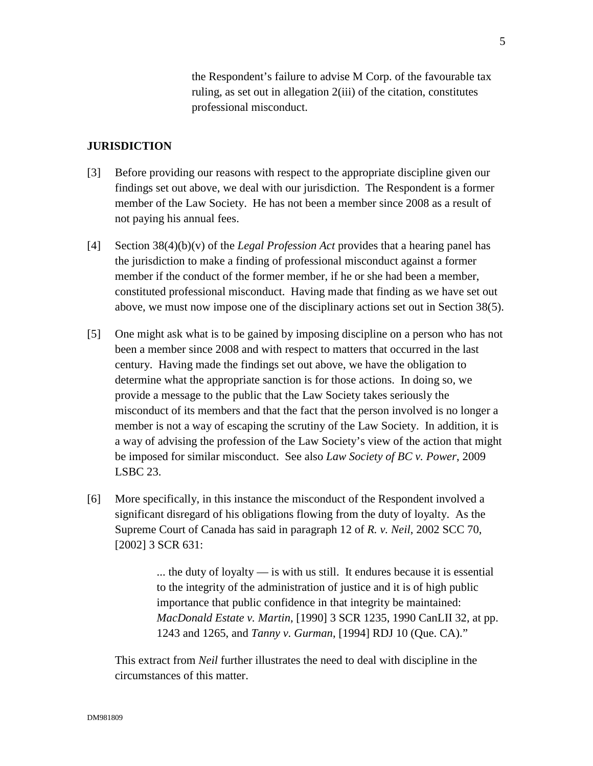the Respondent's failure to advise M Corp. of the favourable tax ruling, as set out in allegation 2(iii) of the citation, constitutes professional misconduct.

## **JURISDICTION**

- [3] Before providing our reasons with respect to the appropriate discipline given our findings set out above, we deal with our jurisdiction. The Respondent is a former member of the Law Society. He has not been a member since 2008 as a result of not paying his annual fees.
- [4] Section 38(4)(b)(v) of the *Legal Profession Act* provides that a hearing panel has the jurisdiction to make a finding of professional misconduct against a former member if the conduct of the former member, if he or she had been a member, constituted professional misconduct. Having made that finding as we have set out above, we must now impose one of the disciplinary actions set out in Section 38(5).
- [5] One might ask what is to be gained by imposing discipline on a person who has not been a member since 2008 and with respect to matters that occurred in the last century. Having made the findings set out above, we have the obligation to determine what the appropriate sanction is for those actions. In doing so, we provide a message to the public that the Law Society takes seriously the misconduct of its members and that the fact that the person involved is no longer a member is not a way of escaping the scrutiny of the Law Society. In addition, it is a way of advising the profession of the Law Society's view of the action that might be imposed for similar misconduct. See also *Law Society of BC v. Power*, 2009 LSBC 23.
- [6] More specifically, in this instance the misconduct of the Respondent involved a significant disregard of his obligations flowing from the duty of loyalty. As the Supreme Court of Canada has said in paragraph 12 of *R. v. Neil*, 2002 SCC 70, [2002] 3 SCR 631:

... the duty of loyalty — is with us still. It endures because it is essential to the integrity of the administration of justice and it is of high public importance that public confidence in that integrity be maintained: *MacDonald Estate v. Martin*, [1990] 3 SCR 1235, 1990 CanLII 32, at pp. 1243 and 1265, and *Tanny v. Gurman*, [1994] RDJ 10 (Que. CA)."

This extract from *Neil* further illustrates the need to deal with discipline in the circumstances of this matter.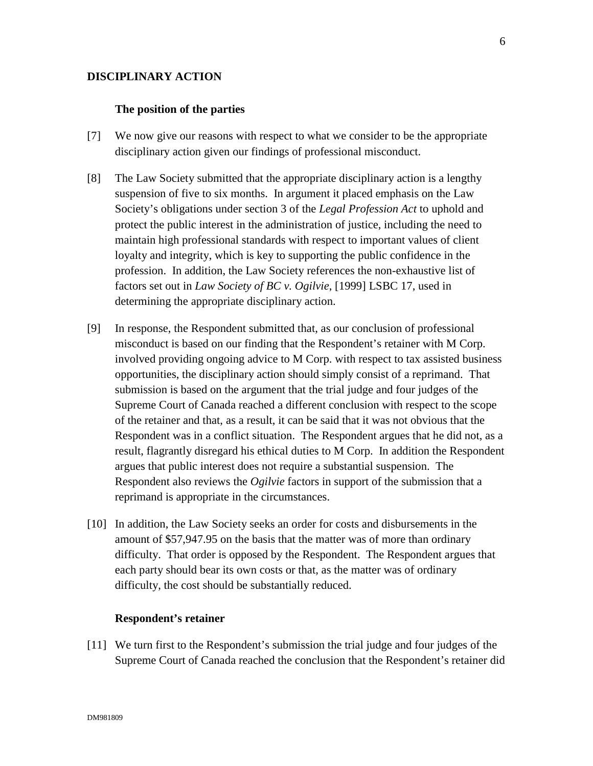## **DISCIPLINARY ACTION**

## **The position of the parties**

- [7] We now give our reasons with respect to what we consider to be the appropriate disciplinary action given our findings of professional misconduct.
- [8] The Law Society submitted that the appropriate disciplinary action is a lengthy suspension of five to six months. In argument it placed emphasis on the Law Society's obligations under section 3 of the *Legal Profession Act* to uphold and protect the public interest in the administration of justice, including the need to maintain high professional standards with respect to important values of client loyalty and integrity, which is key to supporting the public confidence in the profession. In addition, the Law Society references the non-exhaustive list of factors set out in *Law Society of BC v. Ogilvie*, [1999] LSBC 17, used in determining the appropriate disciplinary action.
- [9] In response, the Respondent submitted that, as our conclusion of professional misconduct is based on our finding that the Respondent's retainer with M Corp. involved providing ongoing advice to M Corp. with respect to tax assisted business opportunities, the disciplinary action should simply consist of a reprimand. That submission is based on the argument that the trial judge and four judges of the Supreme Court of Canada reached a different conclusion with respect to the scope of the retainer and that, as a result, it can be said that it was not obvious that the Respondent was in a conflict situation. The Respondent argues that he did not, as a result, flagrantly disregard his ethical duties to M Corp. In addition the Respondent argues that public interest does not require a substantial suspension. The Respondent also reviews the *Ogilvie* factors in support of the submission that a reprimand is appropriate in the circumstances.
- [10] In addition, the Law Society seeks an order for costs and disbursements in the amount of \$57,947.95 on the basis that the matter was of more than ordinary difficulty. That order is opposed by the Respondent. The Respondent argues that each party should bear its own costs or that, as the matter was of ordinary difficulty, the cost should be substantially reduced.

#### **Respondent's retainer**

[11] We turn first to the Respondent's submission the trial judge and four judges of the Supreme Court of Canada reached the conclusion that the Respondent's retainer did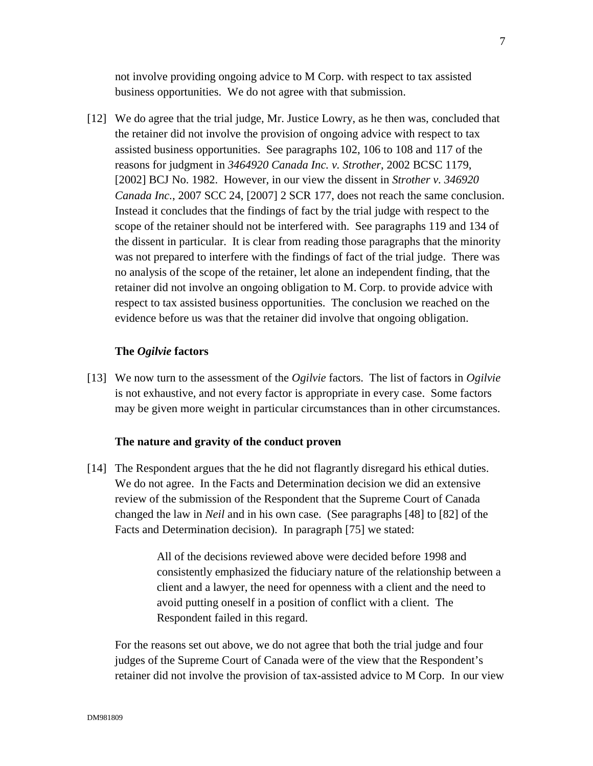not involve providing ongoing advice to M Corp. with respect to tax assisted business opportunities. We do not agree with that submission.

[12] We do agree that the trial judge, Mr. Justice Lowry, as he then was, concluded that the retainer did not involve the provision of ongoing advice with respect to tax assisted business opportunities. See paragraphs 102, 106 to 108 and 117 of the reasons for judgment in *3464920 Canada Inc. v. Strother*, 2002 BCSC 1179, [2002] BCJ No. 1982. However, in our view the dissent in *Strother v. 346920 Canada Inc.*, 2007 SCC 24, [2007] 2 SCR 177, does not reach the same conclusion. Instead it concludes that the findings of fact by the trial judge with respect to the scope of the retainer should not be interfered with. See paragraphs 119 and 134 of the dissent in particular. It is clear from reading those paragraphs that the minority was not prepared to interfere with the findings of fact of the trial judge. There was no analysis of the scope of the retainer, let alone an independent finding, that the retainer did not involve an ongoing obligation to M. Corp. to provide advice with respect to tax assisted business opportunities. The conclusion we reached on the evidence before us was that the retainer did involve that ongoing obligation.

### **The** *Ogilvie* **factors**

[13] We now turn to the assessment of the *Ogilvie* factors. The list of factors in *Ogilvie* is not exhaustive, and not every factor is appropriate in every case. Some factors may be given more weight in particular circumstances than in other circumstances.

#### **The nature and gravity of the conduct proven**

[14] The Respondent argues that the he did not flagrantly disregard his ethical duties. We do not agree. In the Facts and Determination decision we did an extensive review of the submission of the Respondent that the Supreme Court of Canada changed the law in *Neil* and in his own case. (See paragraphs [48] to [82] of the Facts and Determination decision). In paragraph [75] we stated:

> All of the decisions reviewed above were decided before 1998 and consistently emphasized the fiduciary nature of the relationship between a client and a lawyer, the need for openness with a client and the need to avoid putting oneself in a position of conflict with a client. The Respondent failed in this regard.

For the reasons set out above, we do not agree that both the trial judge and four judges of the Supreme Court of Canada were of the view that the Respondent's retainer did not involve the provision of tax-assisted advice to M Corp. In our view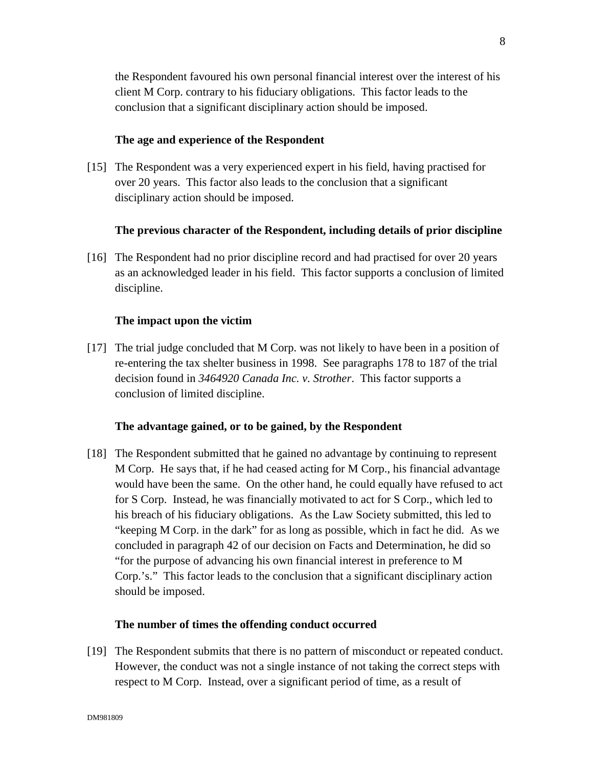the Respondent favoured his own personal financial interest over the interest of his client M Corp. contrary to his fiduciary obligations. This factor leads to the conclusion that a significant disciplinary action should be imposed.

## **The age and experience of the Respondent**

[15] The Respondent was a very experienced expert in his field, having practised for over 20 years. This factor also leads to the conclusion that a significant disciplinary action should be imposed.

#### **The previous character of the Respondent, including details of prior discipline**

[16] The Respondent had no prior discipline record and had practised for over 20 years as an acknowledged leader in his field. This factor supports a conclusion of limited discipline.

#### **The impact upon the victim**

[17] The trial judge concluded that M Corp. was not likely to have been in a position of re-entering the tax shelter business in 1998. See paragraphs 178 to 187 of the trial decision found in *3464920 Canada Inc. v. Strother*. This factor supports a conclusion of limited discipline.

#### **The advantage gained, or to be gained, by the Respondent**

[18] The Respondent submitted that he gained no advantage by continuing to represent M Corp. He says that, if he had ceased acting for M Corp., his financial advantage would have been the same. On the other hand, he could equally have refused to act for S Corp. Instead, he was financially motivated to act for S Corp., which led to his breach of his fiduciary obligations. As the Law Society submitted, this led to "keeping M Corp. in the dark" for as long as possible, which in fact he did. As we concluded in paragraph 42 of our decision on Facts and Determination, he did so "for the purpose of advancing his own financial interest in preference to M Corp.'s." This factor leads to the conclusion that a significant disciplinary action should be imposed.

#### **The number of times the offending conduct occurred**

[19] The Respondent submits that there is no pattern of misconduct or repeated conduct. However, the conduct was not a single instance of not taking the correct steps with respect to M Corp. Instead, over a significant period of time, as a result of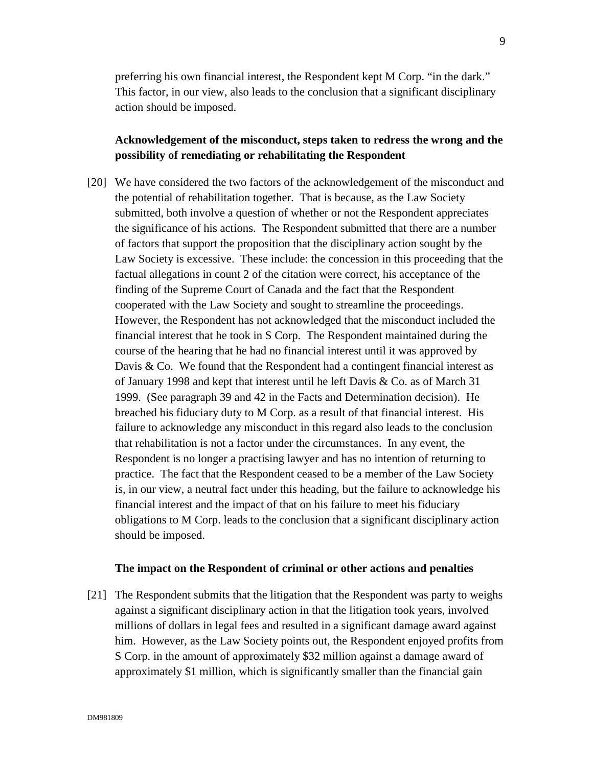preferring his own financial interest, the Respondent kept M Corp. "in the dark." This factor, in our view, also leads to the conclusion that a significant disciplinary action should be imposed.

# **Acknowledgement of the misconduct, steps taken to redress the wrong and the possibility of remediating or rehabilitating the Respondent**

[20] We have considered the two factors of the acknowledgement of the misconduct and the potential of rehabilitation together. That is because, as the Law Society submitted, both involve a question of whether or not the Respondent appreciates the significance of his actions. The Respondent submitted that there are a number of factors that support the proposition that the disciplinary action sought by the Law Society is excessive. These include: the concession in this proceeding that the factual allegations in count 2 of the citation were correct, his acceptance of the finding of the Supreme Court of Canada and the fact that the Respondent cooperated with the Law Society and sought to streamline the proceedings. However, the Respondent has not acknowledged that the misconduct included the financial interest that he took in S Corp. The Respondent maintained during the course of the hearing that he had no financial interest until it was approved by Davis  $\&$  Co. We found that the Respondent had a contingent financial interest as of January 1998 and kept that interest until he left Davis & Co. as of March 31 1999. (See paragraph 39 and 42 in the Facts and Determination decision). He breached his fiduciary duty to M Corp. as a result of that financial interest. His failure to acknowledge any misconduct in this regard also leads to the conclusion that rehabilitation is not a factor under the circumstances. In any event, the Respondent is no longer a practising lawyer and has no intention of returning to practice. The fact that the Respondent ceased to be a member of the Law Society is, in our view, a neutral fact under this heading, but the failure to acknowledge his financial interest and the impact of that on his failure to meet his fiduciary obligations to M Corp. leads to the conclusion that a significant disciplinary action should be imposed.

### **The impact on the Respondent of criminal or other actions and penalties**

[21] The Respondent submits that the litigation that the Respondent was party to weighs against a significant disciplinary action in that the litigation took years, involved millions of dollars in legal fees and resulted in a significant damage award against him. However, as the Law Society points out, the Respondent enjoyed profits from S Corp. in the amount of approximately \$32 million against a damage award of approximately \$1 million, which is significantly smaller than the financial gain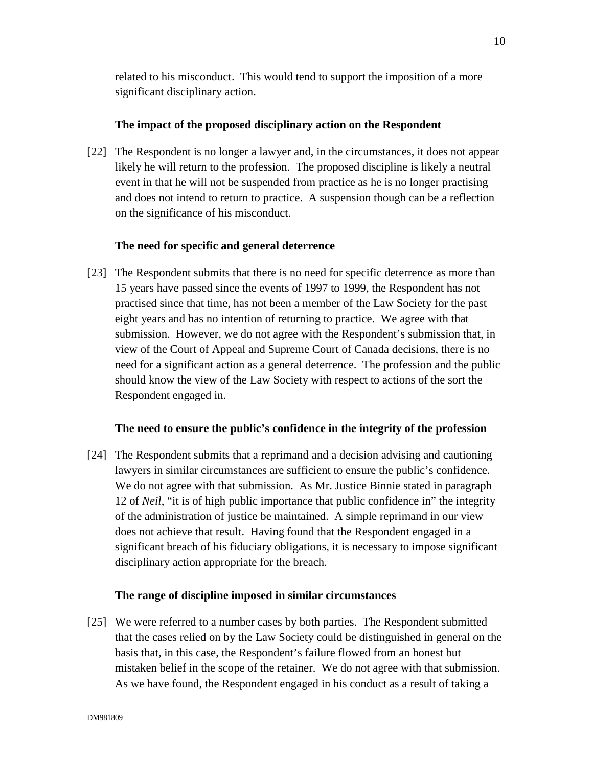related to his misconduct. This would tend to support the imposition of a more significant disciplinary action.

# **The impact of the proposed disciplinary action on the Respondent**

[22] The Respondent is no longer a lawyer and, in the circumstances, it does not appear likely he will return to the profession. The proposed discipline is likely a neutral event in that he will not be suspended from practice as he is no longer practising and does not intend to return to practice. A suspension though can be a reflection on the significance of his misconduct.

# **The need for specific and general deterrence**

[23] The Respondent submits that there is no need for specific deterrence as more than 15 years have passed since the events of 1997 to 1999, the Respondent has not practised since that time, has not been a member of the Law Society for the past eight years and has no intention of returning to practice. We agree with that submission. However, we do not agree with the Respondent's submission that, in view of the Court of Appeal and Supreme Court of Canada decisions, there is no need for a significant action as a general deterrence. The profession and the public should know the view of the Law Society with respect to actions of the sort the Respondent engaged in.

## **The need to ensure the public's confidence in the integrity of the profession**

[24] The Respondent submits that a reprimand and a decision advising and cautioning lawyers in similar circumstances are sufficient to ensure the public's confidence. We do not agree with that submission. As Mr. Justice Binnie stated in paragraph 12 of *Neil*, "it is of high public importance that public confidence in" the integrity of the administration of justice be maintained. A simple reprimand in our view does not achieve that result. Having found that the Respondent engaged in a significant breach of his fiduciary obligations, it is necessary to impose significant disciplinary action appropriate for the breach.

## **The range of discipline imposed in similar circumstances**

[25] We were referred to a number cases by both parties. The Respondent submitted that the cases relied on by the Law Society could be distinguished in general on the basis that, in this case, the Respondent's failure flowed from an honest but mistaken belief in the scope of the retainer. We do not agree with that submission. As we have found, the Respondent engaged in his conduct as a result of taking a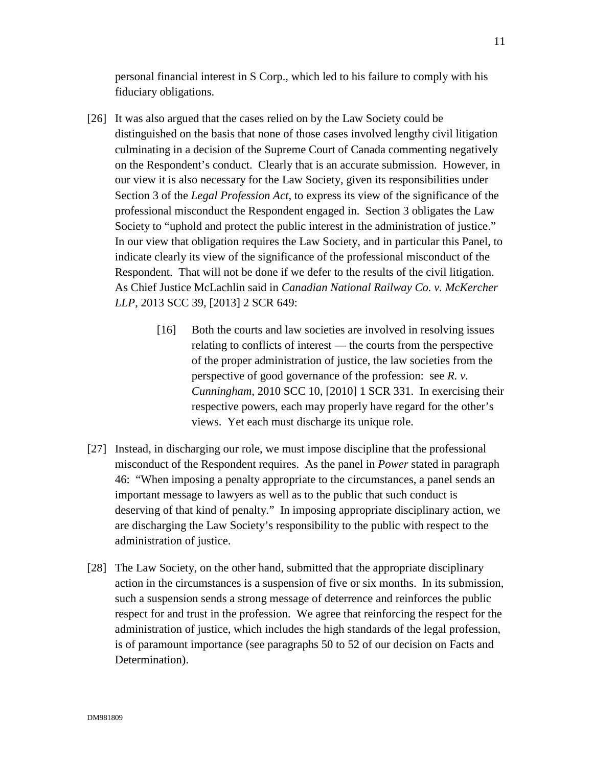personal financial interest in S Corp., which led to his failure to comply with his fiduciary obligations.

- [26] It was also argued that the cases relied on by the Law Society could be distinguished on the basis that none of those cases involved lengthy civil litigation culminating in a decision of the Supreme Court of Canada commenting negatively on the Respondent's conduct. Clearly that is an accurate submission. However, in our view it is also necessary for the Law Society, given its responsibilities under Section 3 of the *Legal Profession Act*, to express its view of the significance of the professional misconduct the Respondent engaged in. Section 3 obligates the Law Society to "uphold and protect the public interest in the administration of justice." In our view that obligation requires the Law Society, and in particular this Panel, to indicate clearly its view of the significance of the professional misconduct of the Respondent. That will not be done if we defer to the results of the civil litigation. As Chief Justice McLachlin said in *Canadian National Railway Co. v. McKercher LLP*, 2013 SCC 39, [2013] 2 SCR 649:
	- [16] Both the courts and law societies are involved in resolving issues relating to conflicts of interest — the courts from the perspective of the proper administration of justice, the law societies from the perspective of good governance of the profession: see *R. v. Cunningham*, 2010 SCC 10, [2010] 1 SCR 331. In exercising their respective powers, each may properly have regard for the other's views. Yet each must discharge its unique role.
- [27] Instead, in discharging our role, we must impose discipline that the professional misconduct of the Respondent requires. As the panel in *Power* stated in paragraph 46: "When imposing a penalty appropriate to the circumstances, a panel sends an important message to lawyers as well as to the public that such conduct is deserving of that kind of penalty." In imposing appropriate disciplinary action, we are discharging the Law Society's responsibility to the public with respect to the administration of justice.
- [28] The Law Society, on the other hand, submitted that the appropriate disciplinary action in the circumstances is a suspension of five or six months. In its submission, such a suspension sends a strong message of deterrence and reinforces the public respect for and trust in the profession. We agree that reinforcing the respect for the administration of justice, which includes the high standards of the legal profession, is of paramount importance (see paragraphs 50 to 52 of our decision on Facts and Determination).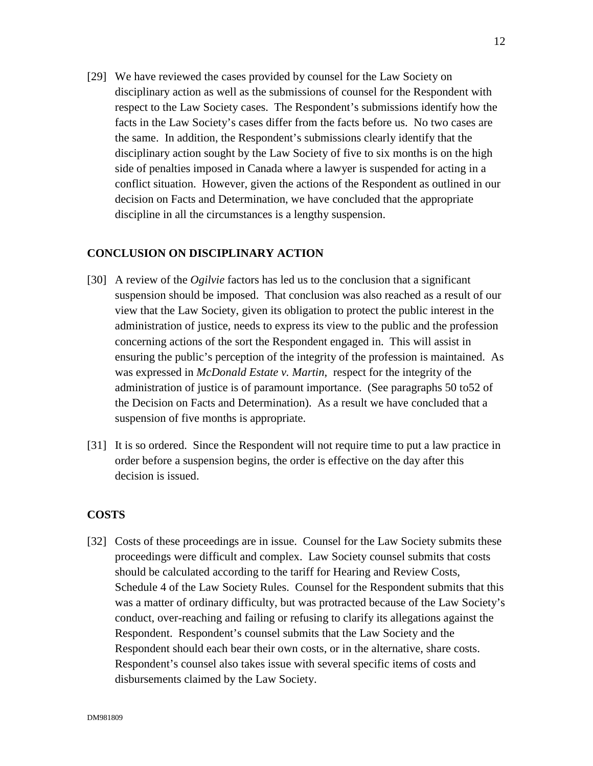[29] We have reviewed the cases provided by counsel for the Law Society on disciplinary action as well as the submissions of counsel for the Respondent with respect to the Law Society cases. The Respondent's submissions identify how the facts in the Law Society's cases differ from the facts before us. No two cases are the same. In addition, the Respondent's submissions clearly identify that the disciplinary action sought by the Law Society of five to six months is on the high side of penalties imposed in Canada where a lawyer is suspended for acting in a conflict situation. However, given the actions of the Respondent as outlined in our decision on Facts and Determination, we have concluded that the appropriate discipline in all the circumstances is a lengthy suspension.

## **CONCLUSION ON DISCIPLINARY ACTION**

- [30] A review of the *Ogilvie* factors has led us to the conclusion that a significant suspension should be imposed. That conclusion was also reached as a result of our view that the Law Society, given its obligation to protect the public interest in the administration of justice, needs to express its view to the public and the profession concerning actions of the sort the Respondent engaged in. This will assist in ensuring the public's perception of the integrity of the profession is maintained. As was expressed in *McDonald Estate v. Martin*, respect for the integrity of the administration of justice is of paramount importance. (See paragraphs 50 to52 of the Decision on Facts and Determination). As a result we have concluded that a suspension of five months is appropriate.
- [31] It is so ordered. Since the Respondent will not require time to put a law practice in order before a suspension begins, the order is effective on the day after this decision is issued.

### **COSTS**

[32] Costs of these proceedings are in issue. Counsel for the Law Society submits these proceedings were difficult and complex. Law Society counsel submits that costs should be calculated according to the tariff for Hearing and Review Costs, Schedule 4 of the Law Society Rules. Counsel for the Respondent submits that this was a matter of ordinary difficulty, but was protracted because of the Law Society's conduct, over-reaching and failing or refusing to clarify its allegations against the Respondent. Respondent's counsel submits that the Law Society and the Respondent should each bear their own costs, or in the alternative, share costs. Respondent's counsel also takes issue with several specific items of costs and disbursements claimed by the Law Society.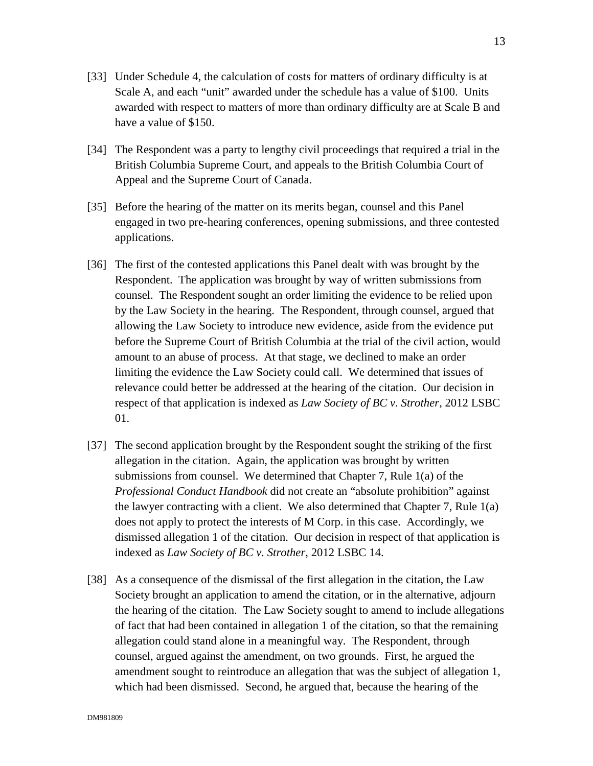- [34] The Respondent was a party to lengthy civil proceedings that required a trial in the British Columbia Supreme Court, and appeals to the British Columbia Court of Appeal and the Supreme Court of Canada.
- [35] Before the hearing of the matter on its merits began, counsel and this Panel engaged in two pre-hearing conferences, opening submissions, and three contested applications.
- [36] The first of the contested applications this Panel dealt with was brought by the Respondent. The application was brought by way of written submissions from counsel. The Respondent sought an order limiting the evidence to be relied upon by the Law Society in the hearing. The Respondent, through counsel, argued that allowing the Law Society to introduce new evidence, aside from the evidence put before the Supreme Court of British Columbia at the trial of the civil action, would amount to an abuse of process. At that stage, we declined to make an order limiting the evidence the Law Society could call. We determined that issues of relevance could better be addressed at the hearing of the citation. Our decision in respect of that application is indexed as *Law Society of BC v. Strother*, 2012 LSBC 01.
- [37] The second application brought by the Respondent sought the striking of the first allegation in the citation. Again, the application was brought by written submissions from counsel. We determined that Chapter 7, Rule 1(a) of the *Professional Conduct Handbook* did not create an "absolute prohibition" against the lawyer contracting with a client. We also determined that Chapter 7, Rule  $1(a)$ does not apply to protect the interests of M Corp. in this case. Accordingly, we dismissed allegation 1 of the citation. Our decision in respect of that application is indexed as *Law Society of BC v. Strother*, 2012 LSBC 14.
- [38] As a consequence of the dismissal of the first allegation in the citation, the Law Society brought an application to amend the citation, or in the alternative, adjourn the hearing of the citation. The Law Society sought to amend to include allegations of fact that had been contained in allegation 1 of the citation, so that the remaining allegation could stand alone in a meaningful way. The Respondent, through counsel, argued against the amendment, on two grounds. First, he argued the amendment sought to reintroduce an allegation that was the subject of allegation 1, which had been dismissed. Second, he argued that, because the hearing of the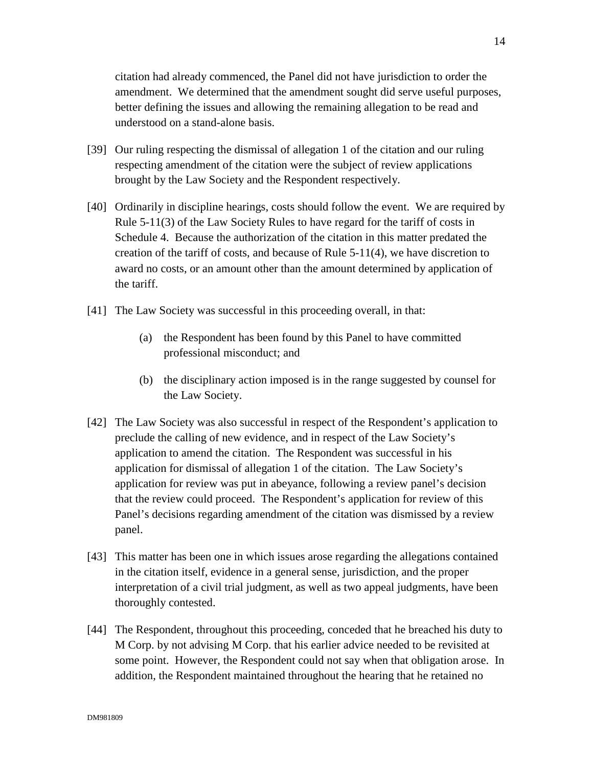citation had already commenced, the Panel did not have jurisdiction to order the amendment. We determined that the amendment sought did serve useful purposes, better defining the issues and allowing the remaining allegation to be read and understood on a stand-alone basis.

- [39] Our ruling respecting the dismissal of allegation 1 of the citation and our ruling respecting amendment of the citation were the subject of review applications brought by the Law Society and the Respondent respectively.
- [40] Ordinarily in discipline hearings, costs should follow the event. We are required by Rule 5-11(3) of the Law Society Rules to have regard for the tariff of costs in Schedule 4. Because the authorization of the citation in this matter predated the creation of the tariff of costs, and because of Rule 5-11(4), we have discretion to award no costs, or an amount other than the amount determined by application of the tariff.
- [41] The Law Society was successful in this proceeding overall, in that:
	- (a) the Respondent has been found by this Panel to have committed professional misconduct; and
	- (b) the disciplinary action imposed is in the range suggested by counsel for the Law Society.
- [42] The Law Society was also successful in respect of the Respondent's application to preclude the calling of new evidence, and in respect of the Law Society's application to amend the citation. The Respondent was successful in his application for dismissal of allegation 1 of the citation. The Law Society's application for review was put in abeyance, following a review panel's decision that the review could proceed. The Respondent's application for review of this Panel's decisions regarding amendment of the citation was dismissed by a review panel.
- [43] This matter has been one in which issues arose regarding the allegations contained in the citation itself, evidence in a general sense, jurisdiction, and the proper interpretation of a civil trial judgment, as well as two appeal judgments, have been thoroughly contested.
- [44] The Respondent, throughout this proceeding, conceded that he breached his duty to M Corp. by not advising M Corp. that his earlier advice needed to be revisited at some point. However, the Respondent could not say when that obligation arose. In addition, the Respondent maintained throughout the hearing that he retained no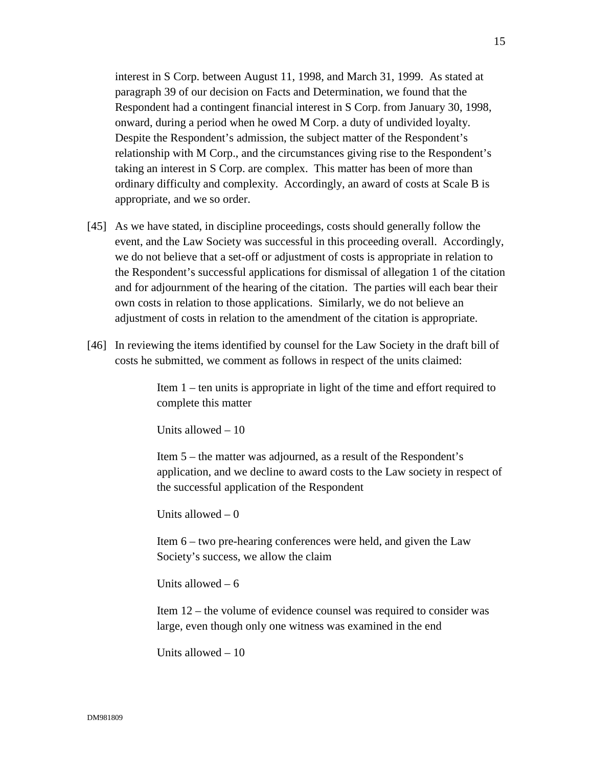interest in S Corp. between August 11, 1998, and March 31, 1999. As stated at paragraph 39 of our decision on Facts and Determination, we found that the Respondent had a contingent financial interest in S Corp. from January 30, 1998, onward, during a period when he owed M Corp. a duty of undivided loyalty. Despite the Respondent's admission, the subject matter of the Respondent's relationship with M Corp., and the circumstances giving rise to the Respondent's taking an interest in S Corp. are complex. This matter has been of more than ordinary difficulty and complexity. Accordingly, an award of costs at Scale B is appropriate, and we so order.

- [45] As we have stated, in discipline proceedings, costs should generally follow the event, and the Law Society was successful in this proceeding overall. Accordingly, we do not believe that a set-off or adjustment of costs is appropriate in relation to the Respondent's successful applications for dismissal of allegation 1 of the citation and for adjournment of the hearing of the citation. The parties will each bear their own costs in relation to those applications. Similarly, we do not believe an adjustment of costs in relation to the amendment of the citation is appropriate.
- [46] In reviewing the items identified by counsel for the Law Society in the draft bill of costs he submitted, we comment as follows in respect of the units claimed:

Item 1 – ten units is appropriate in light of the time and effort required to complete this matter

Units allowed – 10

Item 5 – the matter was adjourned, as a result of the Respondent's application, and we decline to award costs to the Law society in respect of the successful application of the Respondent

Units allowed  $= 0$ 

Item 6 – two pre-hearing conferences were held, and given the Law Society's success, we allow the claim

Units allowed  $-6$ 

Item 12 – the volume of evidence counsel was required to consider was large, even though only one witness was examined in the end

Units allowed – 10